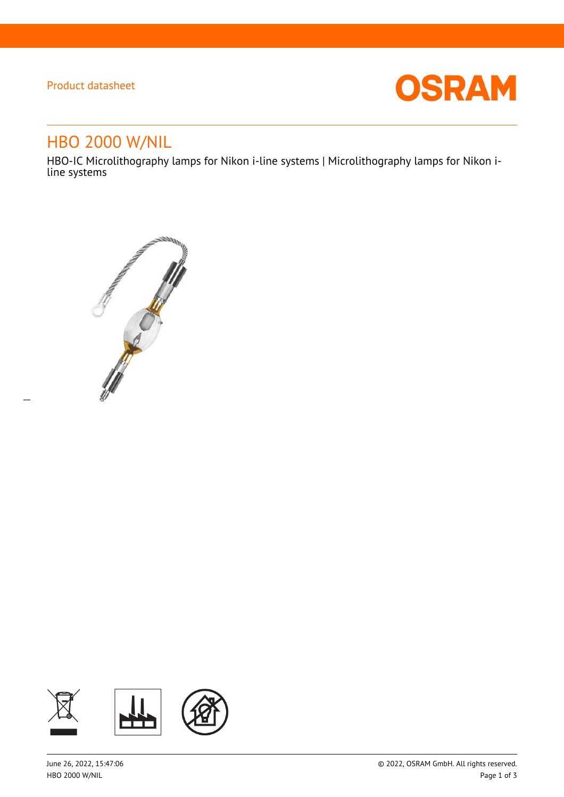## Product datasheet

 $\overline{a}$ 



# HBO 2000 W/NIL

HBO-IC Microlithography lamps for Nikon i-line systems | Microlithography lamps for Nikon iline systems



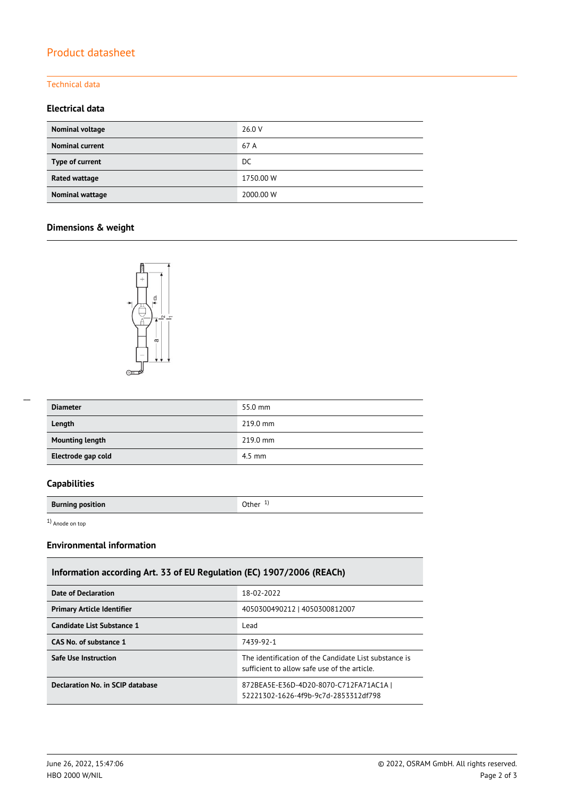## Product datasheet

#### Technical data

#### **Electrical data**

| Nominal voltage        | 26.0 V    |
|------------------------|-----------|
| <b>Nominal current</b> | 67 A      |
| Type of current        | DC        |
| Rated wattage          | 1750.00 W |
| Nominal wattage        | 2000.00 W |

### **Dimensions & weight**



| $\overline{\phantom{a}}$ |  |
|--------------------------|--|
|                          |  |
|                          |  |
|                          |  |

| <b>Diameter</b>        | 55.0 mm  |
|------------------------|----------|
| Length                 | 219.0 mm |
| <b>Mounting length</b> | 219.0 mm |
| Electrode gap cold     | $4.5$ mm |

#### **Capabilities**

**Burning position Burning position C Burning in the U Other** 1<sup>)</sup>

1) Anode on top

#### **Environmental information**

## **Information according Art. 33 of EU Regulation (EC) 1907/2006 (REACh)**

| <b>Date of Declaration</b>        | 18-02-2022                                                                                           |
|-----------------------------------|------------------------------------------------------------------------------------------------------|
| <b>Primary Article Identifier</b> | 4050300490212   4050300812007                                                                        |
| Candidate List Substance 1        | Lead                                                                                                 |
| CAS No. of substance 1            | 7439-92-1                                                                                            |
| <b>Safe Use Instruction</b>       | The identification of the Candidate List substance is<br>sufficient to allow safe use of the article |
| Declaration No. in SCIP database  | 872BEA5E-E36D-4D20-8070-C712FA71AC1A  <br>52221302-1626-4f9b-9c7d-2853312df798                       |